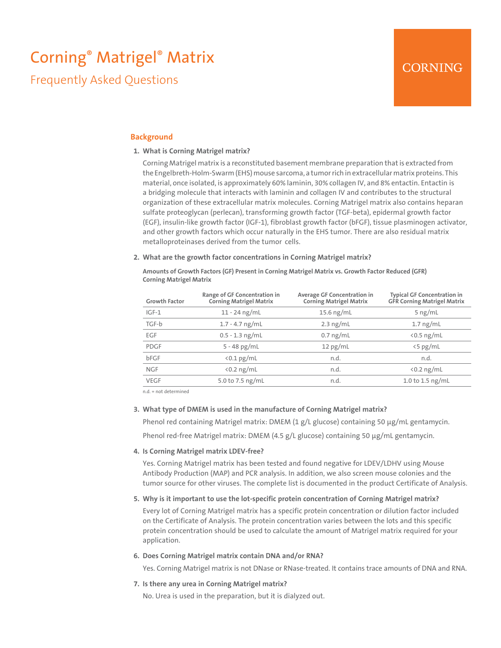# Corning® Matrigel® Matrix

Frequently Asked Questions

## **Background**

## **1. What is Corning Matrigel matrix?**

Corning Matrigel matrix is a reconstituted basement membrane preparation that is extracted from the Engelbreth-Holm-Swarm (EHS) mouse sarcoma, a tumor rich in extracellular matrix proteins. This material, once isolated, is approximately 60% laminin, 30% collagen IV, and 8% entactin. Entactin is a bridging molecule that interacts with laminin and collagen IV and contributes to the structural organization of these extracellular matrix molecules. Corning Matrigel matrix also contains heparan sulfate proteoglycan (perlecan), transforming growth factor (TGF-beta), epidermal growth factor (EGF), insulin-like growth factor (IGF-1), fibroblast growth factor (bFGF), tissue plasminogen activator, and other growth factors which occur naturally in the EHS tumor. There are also residual matrix metalloproteinases derived from the tumor cells.

#### **2. What are the growth factor concentrations in Corning Matrigel matrix?**

**Amounts of Growth Factors (GF) Present in Corning Matrigel Matrix vs. Growth Factor Reduced (GFR) Corning Matrigel Matrix**

| <b>Growth Factor</b> | Range of GF Concentration in<br><b>Corning Matrigel Matrix</b> | Average GF Concentration in<br><b>Corning Matrigel Matrix</b> | <b>Typical GF Concentration in</b><br><b>GFR Corning Matrigel Matrix</b> |
|----------------------|----------------------------------------------------------------|---------------------------------------------------------------|--------------------------------------------------------------------------|
| $IGF-1$              | $11 - 24$ ng/mL                                                | 15.6 $ng/mL$                                                  | $5$ ng/mL                                                                |
| TGF-b                | $1.7 - 4.7$ ng/mL                                              | $2.3$ ng/mL                                                   | $1.7$ ng/mL                                                              |
| EGF                  | $0.5 - 1.3$ ng/mL                                              | $0.7$ ng/mL                                                   | $\langle 0.5 \text{ ng/mL}$                                              |
| <b>PDGF</b>          | $5 - 48$ pg/mL                                                 | $12$ pg/mL                                                    | $\langle 5 \text{ pg/mL}$                                                |
| bFGF                 | $\langle 0.1 \text{ pg/mL}$                                    | n.d.                                                          | n.d.                                                                     |
| <b>NGF</b>           | $\langle 0.2 \text{ ng/mL}$                                    | n.d.                                                          | $\langle 0.2 \text{ ng/mL}$                                              |
| <b>VEGF</b>          | 5.0 to 7.5 ng/mL                                               | n.d.                                                          | 1.0 to 1.5 $\frac{ng}{ml}$                                               |

n.d. = not determined

## **3. What type of DMEM is used in the manufacture of Corning Matrigel matrix?**

Phenol red containing Matrigel matrix: DMEM (1 g/L glucose) containing 50 μg/mL gentamycin.

Phenol red-free Matrigel matrix: DMEM (4.5 g/L glucose) containing 50 μg/mL gentamycin.

#### **4. Is Corning Matrigel matrix LDEV-free?**

Yes. Corning Matrigel matrix has been tested and found negative for LDEV/LDHV using Mouse Antibody Production (MAP) and PCR analysis. In addition, we also screen mouse colonies and the tumor source for other viruses. The complete list is documented in the product Certificate of Analysis.

## **5. Why is it important to use the lot-specific protein concentration of Corning Matrigel matrix?**

Every lot of Corning Matrigel matrix has a specific protein concentration or dilution factor included on the Certificate of Analysis. The protein concentration varies between the lots and this specific protein concentration should be used to calculate the amount of Matrigel matrix required for your application.

## **6. Does Corning Matrigel matrix contain DNA and/or RNA?**

Yes. Corning Matrigel matrix is not DNase or RNase-treated. It contains trace amounts of DNA and RNA.

**7. Is there any urea in Corning Matrigel matrix?**

No. Urea is used in the preparation, but it is dialyzed out.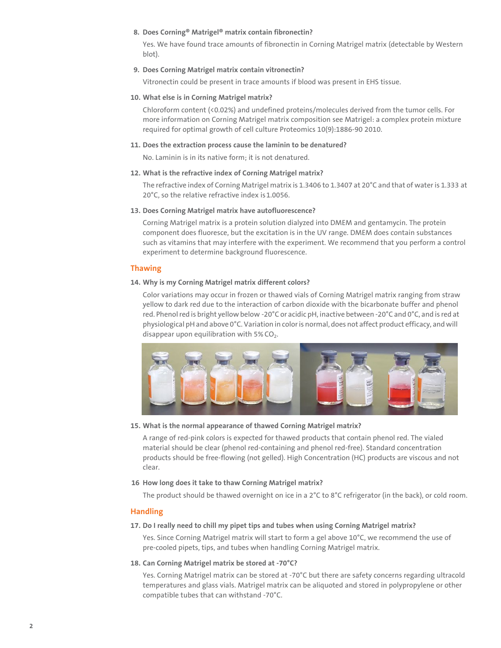#### **8. Does Corning® Matrigel® matrix contain fibronectin?**

Yes. We have found trace amounts of fibronectin in Corning Matrigel matrix (detectable by Western blot).

## **9. Does Corning Matrigel matrix contain vitronectin?**

Vitronectin could be present in trace amounts if blood was present in EHS tissue.

#### **10. What else is in Corning Matrigel matrix?**

Chloroform content (<0.02%) and undefined proteins/molecules derived from the tumor cells. For more information on Corning Matrigel matrix composition see Matrigel: a complex protein mixture required for optimal growth of cell culture Proteomics 10(9):1886-90 2010.

#### **11. Does the extraction process cause the laminin to be denatured?**

No. Laminin is in its native form; it is not denatured.

#### **12. What is the refractive index of Corning Matrigel matrix?**

The refractive index of Corning Matrigel matrix is 1.3406 to 1.3407 at 20°C and that of water is 1.333 at 20°C, so the relative refractive index is 1.0056.

#### **13. Does Corning Matrigel matrix have autofluorescence?**

Corning Matrigel matrix is a protein solution dialyzed into DMEM and gentamycin. The protein component does fluoresce, but the excitation is in the UV range. DMEM does contain substances such as vitamins that may interfere with the experiment. We recommend that you perform a control experiment to determine background fluorescence.

## **Thawing**

#### **14. Why is my Corning Matrigel matrix different colors?**

Color variations may occur in frozen or thawed vials of Corning Matrigel matrix ranging from straw yellow to dark red due to the interaction of carbon dioxide with the bicarbonate buffer and phenol red. Phenol red is bright yellow below -20°C or acidic pH, inactive between -20°C and 0°C, and is red at physiological pH and above 0°C. Variation in color is normal, does not affect product efficacy, and will disappear upon equilibration with  $5\%$  CO<sub>2</sub>.



#### **15. What is the normal appearance of thawed Corning Matrigel matrix?**

A range of red-pink colors is expected for thawed products that contain phenol red. The vialed material should be clear (phenol red-containing and phenol red-free). Standard concentration products should be free-flowing (not gelled). High Concentration (HC) products are viscous and not clear.

#### **16 How long does it take to thaw Corning Matrigel matrix?**

The product should be thawed overnight on ice in a 2°C to 8°C refrigerator (in the back), or cold room.

## **Handling**

#### **17. Do I really need to chill my pipet tips and tubes when using Corning Matrigel matrix?**

Yes. Since Corning Matrigel matrix will start to form a gel above 10°C, we recommend the use of pre-cooled pipets, tips, and tubes when handling Corning Matrigel matrix.

#### **18. Can Corning Matrigel matrix be stored at -70°C?**

Yes. Corning Matrigel matrix can be stored at -70°C but there are safety concerns regarding ultracold temperatures and glass vials. Matrigel matrix can be aliquoted and stored in polypropylene or other compatible tubes that can withstand -70°C.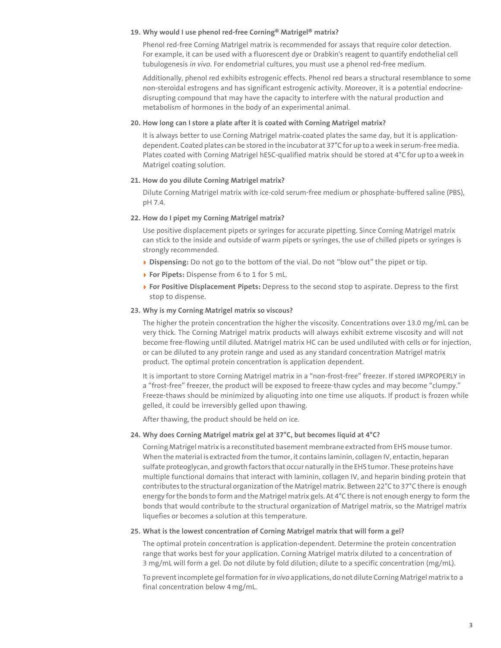#### **19. Why would I use phenol red-free Corning® Matrigel® matrix?**

Phenol red-free Corning Matrigel matrix is recommended for assays that require color detection. For example, it can be used with a fluorescent dye or Drabkin's reagent to quantify endothelial cell tubulogenesis *in vivo*. For endometrial cultures, you must use a phenol red-free medium.

Additionally, phenol red exhibits estrogenic effects. Phenol red bears a structural resemblance to some non-steroidal estrogens and has significant estrogenic activity. Moreover, it is a potential endocrinedisrupting compound that may have the capacity to interfere with the natural production and metabolism of hormones in the body of an experimental animal.

## **20. How long can I store a plate after it is coated with Corning Matrigel matrix?**

It is always better to use Corning Matrigel matrix-coated plates the same day, but it is applicationdependent. Coated plates can be stored in the incubator at 37°C for up to a week in serum-free media. Plates coated with Corning Matrigel hESC-qualified matrix should be stored at 4°C for up to a week in Matrigel coating solution.

## **21. How do you dilute Corning Matrigel matrix?**

Dilute Corning Matrigel matrix with ice-cold serum-free medium or phosphate-buffered saline (PBS), pH 7.4.

#### **22. How do I pipet my Corning Matrigel matrix?**

Use positive displacement pipets or syringes for accurate pipetting. Since Corning Matrigel matrix can stick to the inside and outside of warm pipets or syringes, the use of chilled pipets or syringes is strongly recommended.

- ◗ **Dispensing:** Do not go to the bottom of the vial. Do not "blow out" the pipet or tip.
- ◗ **For Pipets:** Dispense from 6 to 1 for 5 mL.
- ◗ **For Positive Displacement Pipets:** Depress to the second stop to aspirate. Depress to the first stop to dispense.

## **23. Why is my Corning Matrigel matrix so viscous?**

The higher the protein concentration the higher the viscosity. Concentrations over 13.0 mg/mL can be very thick. The Corning Matrigel matrix products will always exhibit extreme viscosity and will not become free-flowing until diluted. Matrigel matrix HC can be used undiluted with cells or for injection, or can be diluted to any protein range and used as any standard concentration Matrigel matrix product. The optimal protein concentration is application dependent.

It is important to store Corning Matrigel matrix in a "non-frost-free" freezer. If stored IMPROPERLY in a "frost-free" freezer, the product will be exposed to freeze-thaw cycles and may become "clumpy." Freeze-thaws should be minimized by aliquoting into one time use aliquots. If product is frozen while gelled, it could be irreversibly gelled upon thawing.

After thawing, the product should be held on ice.

#### **24. Why does Corning Matrigel matrix gel at 37°C, but becomes liquid at 4°C?**

Corning Matrigel matrix is a reconstituted basement membrane extracted from EHS mouse tumor. When the material is extracted from the tumor, it contains laminin, collagen IV, entactin, heparan sulfate proteoglycan, and growth factors that occur naturally in the EHS tumor. These proteins have multiple functional domains that interact with laminin, collagen IV, and heparin binding protein that contributes to the structural organization of the Matrigel matrix. Between 22°C to 37°C there is enough energy for the bonds to form and the Matrigel matrix gels. At 4°C there is not enough energy to form the bonds that would contribute to the structural organization of Matrigel matrix, so the Matrigel matrix liquefies or becomes a solution at this temperature.

#### **25. What is the lowest concentration of Corning Matrigel matrix that will form a gel?**

The optimal protein concentration is application-dependent. Determine the protein concentration range that works best for your application. Corning Matrigel matrix diluted to a concentration of 3 mg/mL will form a gel. Do not dilute by fold dilution; dilute to a specific concentration (mg/mL).

To prevent incomplete gel formation for *in vivo* applications, do not dilute Corning Matrigel matrix to a final concentration below 4 mg/mL.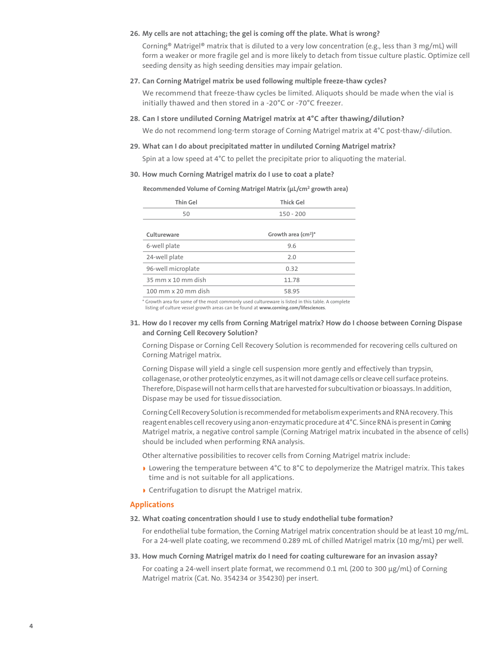## **26. My cells are not attaching; the gel is coming off the plate. What is wrong?**

Corning® Matrigel® matrix that is diluted to a very low concentration (e.g., less than 3 mg/mL) will form a weaker or more fragile gel and is more likely to detach from tissue culture plastic. Optimize cell seeding density as high seeding densities may impair gelation.

#### **27. Can Corning Matrigel matrix be used following multiple freeze-thaw cycles?**

We recommend that freeze-thaw cycles be limited. Aliquots should be made when the vial is initially thawed and then stored in a -20°C or -70°C freezer.

#### **28. Can I store undiluted Corning Matrigel matrix at 4°C after thawing/dilution?**

We do not recommend long-term storage of Corning Matrigel matrix at 4°C post-thaw/-dilution.

#### **29. What can I do about precipitated matter in undiluted Corning Matrigel matrix?**

Spin at a low speed at 4°C to pellet the precipitate prior to aliquoting the material.

#### **30. How much Corning Matrigel matrix do I use to coat a plate?**

**Recommended Volume of Corning Matrigel Matrix (µL/cm2 growth area)**

| <b>Thin Gel</b>     | <b>Thick Gel</b>     |  |  |
|---------------------|----------------------|--|--|
| 50                  | $150 - 200$          |  |  |
|                     |                      |  |  |
| Cultureware         | Growth area $(cm2)*$ |  |  |
| 6-well plate        | 9.6                  |  |  |
| 24-well plate       | 2.0                  |  |  |
| 96-well microplate  | 0.32                 |  |  |
| 35 mm x 10 mm dish  | 11.78                |  |  |
| 100 mm x 20 mm dish | 58.95                |  |  |

\* Growth area for some of the most commonly used cultureware is listed in this table. A complete

#### listing of culture vessel growth areas can be found at **[www.corning.com/lifesciences](http://www.corning.com/lifesciences)**.

## **31. How do I recover my cells from Corning Matrigel matrix? How do I choose between Corning Dispase and Corning Cell Recovery Solution?**

Corning Dispase or Corning Cell Recovery Solution is recommended for recovering cells cultured on Corning Matrigel matrix.

Corning Dispase will yield a single cell suspension more gently and effectively than trypsin, collagenase, or other proteolytic enzymes, as it will not damage cells or cleave cell surface proteins. Therefore, Dispase will not harm cells that are harvested for subcultivation or bioassays. In addition, Dispase may be used for tissue dissociation.

Corning Cell Recovery Solution is recommended for metabolism experiments and RNA recovery. This reagent enables cell recovery using anon-enzymatic procedure at 4°C. Since RNA is present in Coming Matrigel matrix, a negative control sample (Corning Matrigel matrix incubated in the absence of cells) should be included when performing RNA analysis.

Other alternative possibilities to recover cells from Corning Matrigel matrix include:

- ◗ Lowering the temperature between 4°C to 8°C to depolymerize the Matrigel matrix. This takes time and is not suitable for all applications.
- ◗ Centrifugation to disrupt the Matrigel matrix.

#### **Applications**

#### **32. What coating concentration should I use to study endothelial tube formation?**

For endothelial tube formation, the Corning Matrigel matrix concentration should be at least 10 mg/mL. For a 24-well plate coating, we recommend 0.289 mL of chilled Matrigel matrix (10 mg/mL) per well.

**33. How much Corning Matrigel matrix do I need for coating cultureware for an invasion assay?**

For coating a 24-well insert plate format, we recommend 0.1 mL (200 to 300 μg/mL) of Corning Matrigel matrix (Cat. No. 354234 or 354230) per insert.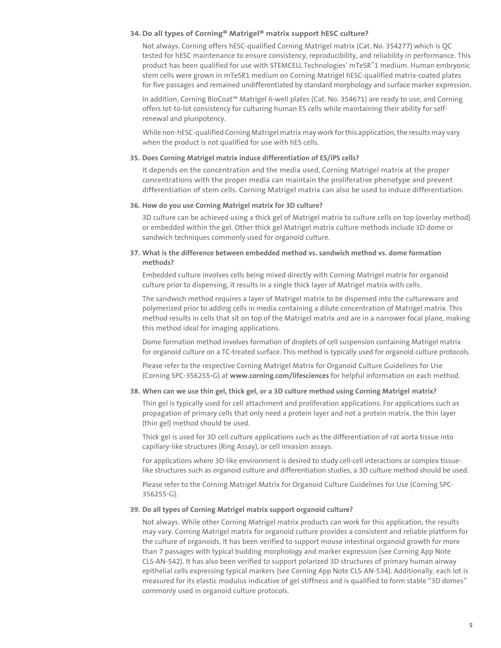## **34.Do all types of Corning® Matrigel® matrix support hESC culture?**

Not always. Corning offers hESC-qualified Corning Matrigel matrix (Cat. No. 354277) which is QC tested for hESC maintenance to ensure consistency, reproducibility, and reliability in performance. This product has been qualified for use with STEMCELL Technologies' mTeSR™1 medium. Human embryonic stem cells were grown in mTeSR1 medium on Corning Matrigel hESC-qualified matrix-coated plates for five passages and remained undifferentiated by standard morphology and surface marker expression.

In addition, Corning BioCoat™ Matrigel 6-well plates (Cat. No. 354671) are ready to use, and Corning offers lot-to-lot consistency for culturing human ES cells while maintaining their ability for selfrenewal and pluripotency.

While non-hESC-qualified Corning Matrigel matrix may work for this application, the results may vary when the product is not qualified for use with hES cells.

#### **35. Does Corning Matrigel matrix induce differentiation of ES/iPS cells?**

It depends on the concentration and the media used, Corning Matrigel matrix at the proper concentrations with the proper media can maintain the proliferative phenotype and prevent differentiation of stem cells. Corning Matrigel matrix can also be used to induce differentiation.

#### **36. How do you use Corning Matrigel matrix for 3D culture?**

3D culture can be achieved using a thick gel of Matrigel matrix to culture cells on top (overlay method) or embedded within the gel. Other thick gel Matrigel matrix culture methods include 3D dome or sandwich techniques commonly used for organoid culture.

## **37. What is the difference between embedded method vs. sandwich method vs. dome formation methods?**

Embedded culture involves cells being mixed directly with Corning Matrigel matrix for organoid culture prior to dispensing, it results in a single thick layer of Matrigel matrix with cells.

The sandwich method requires a layer of Matrigel matrix to be dispensed into the cultureware and polymerized prior to adding cells in media containing a dilute concentration of Matrigel matrix. This method results in cells that sit on top of the Matrigel matrix and are in a narrower focal plane, making this method ideal for imaging applications.

Dome formation method involves formation of droplets of cell suspension containing Matrigel matrix for organoid culture on a TC-treated surface. This method is typically used for organoid culture protocols.

Please refer to the respective Corning Matrigel Matrix for Organoid Culture Guidelines for Use (Corning SPC-356255-G) at **www.corning.com/lifesciences** for helpful information on each method.

#### **38. When can we use thin gel, thick gel, or a 3D culture method using Corning Matrigel matrix?**

Thin gel is typically used for cell attachment and proliferation applications. For applications such as propagation of primary cells that only need a protein layer and not a protein matrix, the thin layer (thin gel) method should be used.

Thick gel is used for 3D cell culture applications such as the differentiation of rat aorta tissue into capillary-like structures (Ring Assay), or cell invasion assays.

For applications where 3D-like environment is desired to study cell-cell interactions or complex tissuelike structures such as organoid culture and differentiation studies, a 3D culture method should be used.

Please refer to the Corning Matrigel Matrix for Organoid Culture Guidelines for Use (Corning SPC-356255-G).

#### **39. Do all types of Corning Matrigel matrix support organoid culture?**

Not always. While other Corning Matrigel matrix products can work for this application, the results may vary. Corning Matrigel matrix for organoid culture provides a consistent and reliable platform for the culture of organoids. It has been verified to support mouse intestinal organoid growth for more than 7 passages with typical budding morphology and marker expression (see Corning App Note CLS-AN-542). It has also been verified to support polarized 3D structures of primary human airway epithelial cells expressing typical markers (see Corning App Note CLS-AN-534). Additionally, each lot is measured for its elastic modulus indicative of gel stiffness and is qualified to form stable "3D domes" commonly used in organoid culture protocols.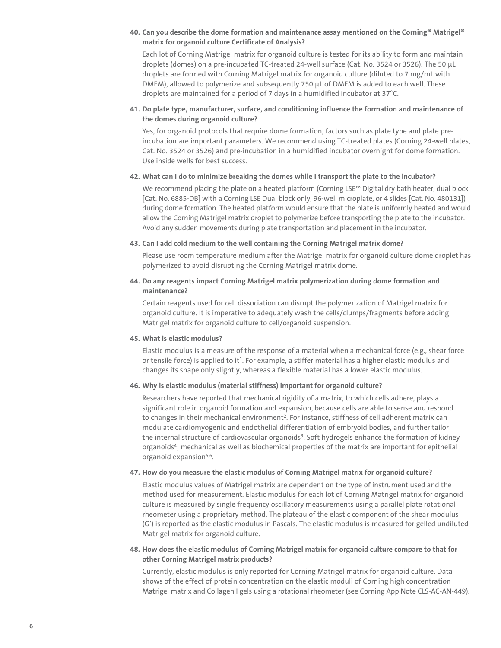## **40. Can you describe the dome formation and maintenance assay mentioned on the Corning® Matrigel® matrix for organoid culture Certificate of Analysis?**

Each lot of Corning Matrigel matrix for organoid culture is tested for its ability to form and maintain droplets (domes) on a pre-incubated TC-treated 24-well surface (Cat. No. 3524 or 3526). The 50 µL droplets are formed with Corning Matrigel matrix for organoid culture (diluted to 7 mg/mL with DMEM), allowed to polymerize and subsequently 750 µL of DMEM is added to each well. These droplets are maintained for a period of 7 days in a humidified incubator at 37°C.

## **41. Do plate type, manufacturer, surface, and conditioning influence the formation and maintenance of the domes during organoid culture?**

Yes, for organoid protocols that require dome formation, factors such as plate type and plate preincubation are important parameters. We recommend using TC-treated plates (Corning 24-well plates, Cat. No. 3524 or 3526) and pre-incubation in a humidified incubator overnight for dome formation. Use inside wells for best success.

## **42. What can I do to minimize breaking the domes while I transport the plate to the incubator?**

We recommend placing the plate on a heated platform (Corning LSE™ Digital dry bath heater, dual block [Cat. No. 6885-DB] with a Corning LSE Dual block only, 96-well microplate, or 4 slides [Cat. No. 480131]) during dome formation. The heated platform would ensure that the plate is uniformly heated and would allow the Corning Matrigel matrix droplet to polymerize before transporting the plate to the incubator. Avoid any sudden movements during plate transportation and placement in the incubator.

## **43. Can I add cold medium to the well containing the Corning Matrigel matrix dome?**

Please use room temperature medium after the Matrigel matrix for organoid culture dome droplet has polymerized to avoid disrupting the Corning Matrigel matrix dome.

## **44. Do any reagents impact Corning Matrigel matrix polymerization during dome formation and maintenance?**

Certain reagents used for cell dissociation can disrupt the polymerization of Matrigel matrix for organoid culture. It is imperative to adequately wash the cells/clumps/fragments before adding Matrigel matrix for organoid culture to cell/organoid suspension.

## **45. What is elastic modulus?**

Elastic modulus is a measure of the response of a material when a mechanical force (e.g., shear force or tensile force) is applied to it<sup>1</sup>. For example, a stiffer material has a higher elastic modulus and changes its shape only slightly, whereas a flexible material has a lower elastic modulus.

## **46. Why is elastic modulus (material stiffness) important for organoid culture?**

Researchers have reported that mechanical rigidity of a matrix, to which cells adhere, plays a significant role in organoid formation and expansion, because cells are able to sense and respond to changes in their mechanical environment<sup>2</sup>. For instance, stiffness of cell adherent matrix can modulate cardiomyogenic and endothelial differentiation of embryoid bodies, and further tailor the internal structure of cardiovascular organoids<sup>3</sup>. Soft hydrogels enhance the formation of kidney organoids4; mechanical as well as biochemical properties of the matrix are important for epithelial organoid expansion<sup>5,6</sup>.

## **47. How do you measure the elastic modulus of Corning Matrigel matrix for organoid culture?**

Elastic modulus values of Matrigel matrix are dependent on the type of instrument used and the method used for measurement. Elastic modulus for each lot of Corning Matrigel matrix for organoid culture is measured by single frequency oscillatory measurements using a parallel plate rotational rheometer using a proprietary method. The plateau of the elastic component of the shear modulus (G') is reported as the elastic modulus in Pascals. The elastic modulus is measured for gelled undiluted Matrigel matrix for organoid culture.

## **48. How does the elastic modulus of Corning Matrigel matrix for organoid culture compare to that for other Corning Matrigel matrix products?**

Currently, elastic modulus is only reported for Corning Matrigel matrix for organoid culture. Data shows of the effect of protein concentration on the elastic moduli of Corning high concentration Matrigel matrix and Collagen I gels using a rotational rheometer (see Corning App Note CLS-AC-AN-449).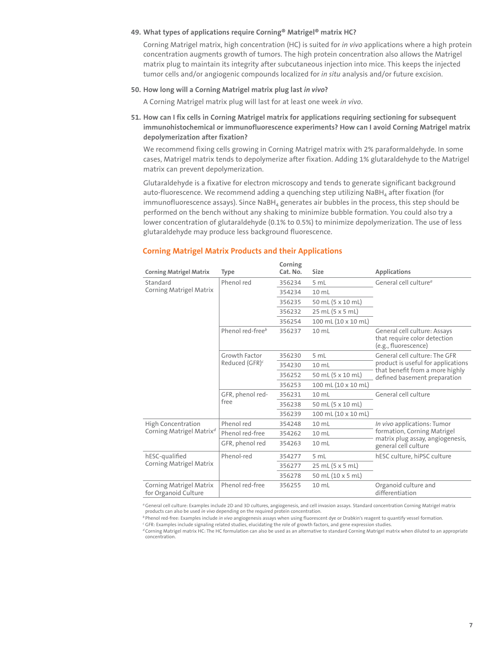## **49. What types of applications require Corning® Matrigel® matrix HC?**

Corning Matrigel matrix, high concentration (HC) is suited for *in vivo* applications where a high protein concentration augments growth of tumors. The high protein concentration also allows the Matrigel matrix plug to maintain its integrity after subcutaneous injection into mice. This keeps the injected tumor cells and/or angiogenic compounds localized for *in situ* analysis and/or future excision.

## **50. How long will a Corning Matrigel matrix plug last** *in vivo***?**

A Corning Matrigel matrix plug will last for at least one week *in vivo*.

**51. How can I fix cells in Corning Matrigel matrix for applications requiring sectioning for subsequent immunohistochemical or immunofluorescence experiments? How can I avoid Corning Matrigel matrix depolymerization after fixation?**

We recommend fixing cells growing in Corning Matrigel matrix with 2% paraformaldehyde. In some cases, Matrigel matrix tends to depolymerize after fixation. Adding 1% glutaraldehyde to the Matrigel matrix can prevent depolymerization.

Glutaraldehyde is a fixative for electron microscopy and tends to generate significant background auto-fluorescence. We recommend adding a quenching step utilizing NaBH<sub>4</sub> after fixation (for  $immunofluorescence assays$ ). Since  $NabH_4$  generates air bubbles in the process, this step should be performed on the bench without any shaking to minimize bubble formation. You could also try a lower concentration of glutaraldehyde (0.1% to 0.5%) to minimize depolymerization. The use of less glutaraldehyde may produce less background fluorescence.

| <b>Corning Matrigel Matrix</b>                  | <b>Type</b>                                 | Corning<br>Cat. No. | <b>Size</b>                  | <b>Applications</b>                                                                                                                    |
|-------------------------------------------------|---------------------------------------------|---------------------|------------------------------|----------------------------------------------------------------------------------------------------------------------------------------|
| Standard                                        | Phenol red                                  | 356234              | 5 mL                         | General cell culture <sup>a</sup>                                                                                                      |
| <b>Corning Matrigel Matrix</b>                  |                                             | 354234              | 10 <sub>ml</sub>             |                                                                                                                                        |
|                                                 |                                             | 356235              | 50 mL (5 x 10 mL)            |                                                                                                                                        |
|                                                 |                                             | 356232              | 25 mL (5 x 5 mL)             |                                                                                                                                        |
|                                                 |                                             | 356254              | 100 mL (10 x 10 mL)          |                                                                                                                                        |
|                                                 | Phenol red-free <sup>b</sup>                | 356237              | $10 \mathrm{m}$              | General cell culture: Assays<br>that require color detection<br>(e.g., fluorescence)                                                   |
|                                                 | Growth Factor<br>Reduced (GFR) <sup>c</sup> | 356230              | 5 mL                         | General cell culture: The GFR<br>product is useful for applications<br>that benefit from a more highly<br>defined basement preparation |
|                                                 |                                             | 354230              | 10 <sub>ml</sub>             |                                                                                                                                        |
|                                                 |                                             | 356252              | 50 mL (5 x 10 mL)            |                                                                                                                                        |
|                                                 |                                             | 356253              | 100 mL (10 x 10 mL)          |                                                                                                                                        |
|                                                 | GFR, phenol red-<br>free                    | 356231              | 10 <sub>ml</sub>             | General cell culture                                                                                                                   |
|                                                 |                                             | 356238              | 50 mL (5 x 10 mL)            |                                                                                                                                        |
|                                                 |                                             | 356239              | $100$ mL $(10 \times 10$ mL) |                                                                                                                                        |
| <b>High Concentration</b>                       | Phenol red                                  | 354248              | $10 \mathrm{m}$              | In vivo applications: Tumor<br>formation, Corning Matrigel<br>matrix plug assay, angiogenesis,<br>general cell culture                 |
| Corning Matrigel Matrix <sup>d</sup>            | Phenol red-free                             | 354262              | 10 <sub>ml</sub>             |                                                                                                                                        |
|                                                 | GFR, phenol red                             | 354263              | $10 \mathrm{m}$              |                                                                                                                                        |
| hESC-qualified                                  | Phenol-red                                  | 354277              | 5 mL                         | hESC culture, hiPSC culture                                                                                                            |
| <b>Corning Matrigel Matrix</b>                  |                                             | 356277              | 25 mL (5 x 5 mL)             |                                                                                                                                        |
|                                                 |                                             | 356278              | 50 mL (10 x 5 mL)            |                                                                                                                                        |
| Corning Matrigel Matrix<br>for Organoid Culture | Phenol red-free                             | 356255              | $10 \mathrm{m}$              | Organoid culture and<br>differentiation                                                                                                |

## **Corning Matrigel Matrix Products and their Applications**

*<sup>a</sup>*General cell culture: Examples include 2D and 3D cultures, angiogenesis, and cell invasion assays. Standard concentration Corning Matrigel matrix products can also be used *in vivo* depending on the required protein concentration.

*<sup>b</sup>* Phenol red-free: Examples include *in vivo* angiogenesis assays when using fluorescent dye or Drabkin's reagent to quantify vessel formation.

*<sup>c</sup>* GFR: Examples include signaling related studies, elucidating the role of growth factors, and gene expression studies.

*<sup>d</sup>* Corning Matrigel matrix HC: The HC formulation can also be used as an alternative to standard Corning Matrigel matrix when diluted to an appropriate concentration.